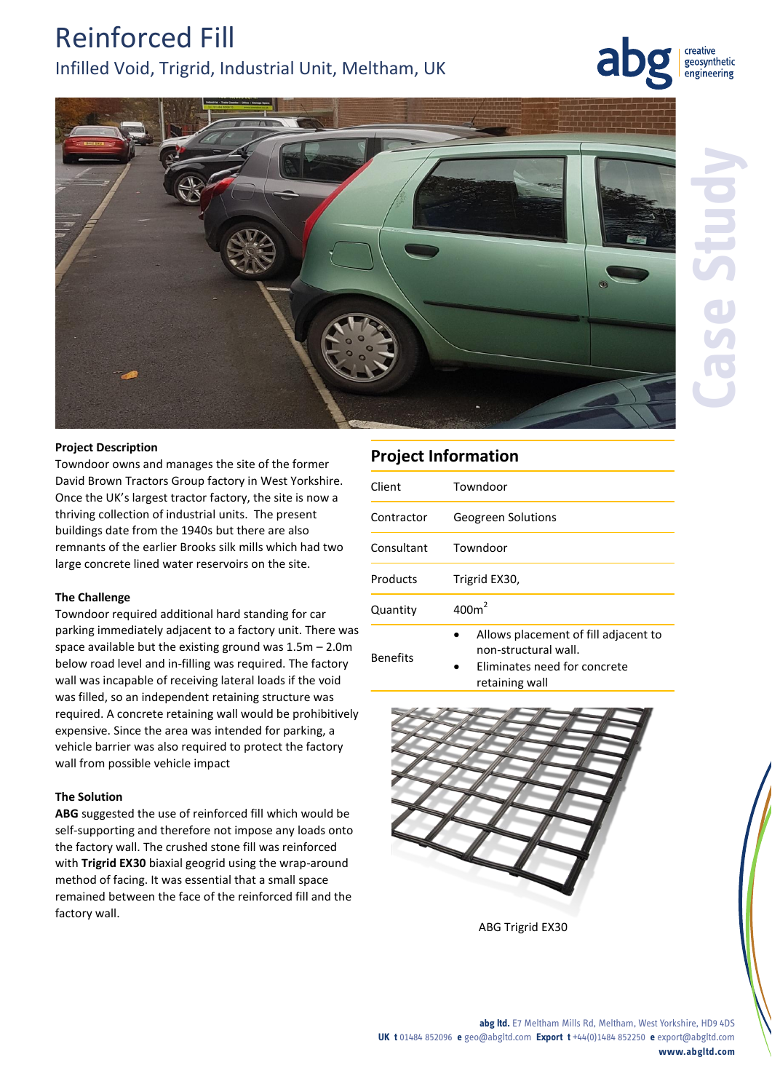## Reinforced Fill Infilled Void, Trigrid, Industrial Unit, Meltham, UK

creative geosynthetic engineering



#### **Project Description**

Towndoor owns and manages the site of the former David Brown Tractors Group factory in West Yorkshire. Once the UK's largest tractor factory, the site is now a thriving collection of industrial units. The present buildings date from the 1940s but there are also remnants of the earlier Brooks silk mills which had two large concrete lined water reservoirs on the site.

#### **The Challenge**

Towndoor required additional hard standing for car parking immediately adjacent to a factory unit. There was space available but the existing ground was 1.5m – 2.0m below road level and in-filling was required. The factory wall was incapable of receiving lateral loads if the void was filled, so an independent retaining structure was required. A concrete retaining wall would be prohibitively expensive. Since the area was intended for parking, a vehicle barrier was also required to protect the factory wall from possible vehicle impact

#### **The Solution**

**ABG** suggested the use of reinforced fill which would be self-supporting and therefore not impose any loads onto the factory wall. The crushed stone fill was reinforced with **Trigrid EX30** biaxial geogrid using the wrap-around method of facing. It was essential that a small space remained between the face of the reinforced fill and the factory wall.

### **Project Information**

| Client     | Towndoor                                                                                            |
|------------|-----------------------------------------------------------------------------------------------------|
| Contractor | Geogreen Solutions                                                                                  |
| Consultant | Towndoor                                                                                            |
| Products   | Trigrid EX30,                                                                                       |
| Quantity   | 400m <sup>2</sup>                                                                                   |
| Benefits   | Allows placement of fill adjacent to<br>non-structural wall.<br>Elizabeth a component formation and |

 Eliminates need for concrete retaining wall



ABG Trigrid EX30

#### **abg ltd.** E7 Meltham Mills Rd, Meltham, West Yorkshire, HD9 4DS **UK t** 01484 852096 **e** geo@abgltd.com **Export t** +44(0)1484 852250 **e** export@abgltd.com **www.abgltd.com**